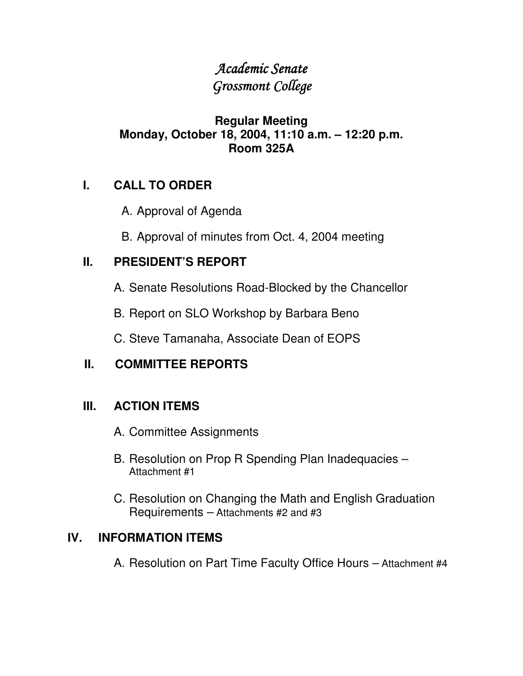## Academic Senate Grossmont College

### **Regular Meeting Monday, October 18, 2004, 11:10 a.m. – 12:20 p.m. Room 325A**

### **I. CALL TO ORDER**

- A. Approval of Agenda
- B. Approval of minutes from Oct. 4, 2004 meeting

### **II. PRESIDENT'S REPORT**

- A. Senate Resolutions Road-Blocked by the Chancellor
- B. Report on SLO Workshop by Barbara Beno
- C. Steve Tamanaha, Associate Dean of EOPS

### **II. COMMITTEE REPORTS**

### **III. ACTION ITEMS**

- A. Committee Assignments
- B. Resolution on Prop R Spending Plan Inadequacies Attachment #1
- C. Resolution on Changing the Math and English Graduation Requirements – Attachments #2 and #3

### **IV. INFORMATION ITEMS**

A. Resolution on Part Time Faculty Office Hours – Attachment #4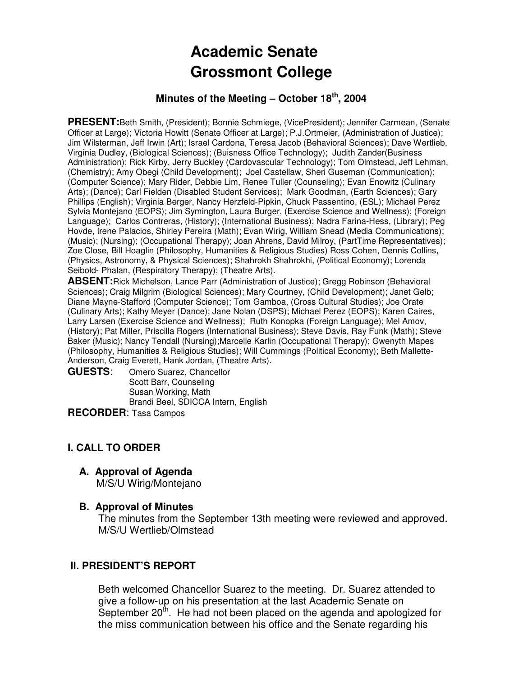# **Academic Senate Grossmont College**

#### **Minutes of the Meeting – October 18th, 2004**

**PRESENT:**Beth Smith, (President); Bonnie Schmiege, (VicePresident); Jennifer Carmean, (Senate Officer at Large); Victoria Howitt (Senate Officer at Large); P.J.Ortmeier, (Administration of Justice); Jim Wilsterman, Jeff Irwin (Art); Israel Cardona, Teresa Jacob (Behavioral Sciences); Dave Wertlieb, Virginia Dudley, (Biological Sciences); (Buisness Office Technology); Judith Zander(Business Administration); Rick Kirby, Jerry Buckley (Cardovascular Technology); Tom Olmstead, Jeff Lehman, (Chemistry); Amy Obegi (Child Development); Joel Castellaw, Sheri Guseman (Communication); (Computer Science); Mary Rider, Debbie Lim, Renee Tuller (Counseling); Evan Enowitz (Culinary Arts); (Dance); Carl Fielden (Disabled Student Services); Mark Goodman, (Earth Sciences); Gary Phillips (English); Virginia Berger, Nancy Herzfeld-Pipkin, Chuck Passentino, (ESL); Michael Perez Sylvia Montejano (EOPS); Jim Symington, Laura Burger, (Exercise Science and Wellness); (Foreign Language); Carlos Contreras, (History); (International Business); Nadra Farina-Hess, (Library); Peg Hovde, Irene Palacios, Shirley Pereira (Math); Evan Wirig, William Snead (Media Communications); (Music); (Nursing); (Occupational Therapy); Joan Ahrens, David Milroy, (PartTime Representatives); Zoe Close, Bill Hoaglin (Philosophy, Humanities & Religious Studies) Ross Cohen, Dennis Collins, (Physics, Astronomy, & Physical Sciences); Shahrokh Shahrokhi, (Political Economy); Lorenda Seibold- Phalan, (Respiratory Therapy); (Theatre Arts).

**ABSENT:**Rick Michelson, Lance Parr (Administration of Justice); Gregg Robinson (Behavioral Sciences); Craig Milgrim (Biological Sciences); Mary Courtney, (Child Development); Janet Gelb; Diane Mayne-Stafford (Computer Science); Tom Gamboa, (Cross Cultural Studies); Joe Orate (Culinary Arts); Kathy Meyer (Dance); Jane Nolan (DSPS); Michael Perez (EOPS); Karen Caires, Larry Larsen (Exercise Science and Wellness); Ruth Konopka (Foreign Language); Mel Amov, (History); Pat Miller, Priscilla Rogers (International Business); Steve Davis, Ray Funk (Math); Steve Baker (Music); Nancy Tendall (Nursing);Marcelle Karlin (Occupational Therapy); Gwenyth Mapes (Philosophy, Humanities & Religious Studies); Will Cummings (Political Economy); Beth Mallette-Anderson, Craig Everett, Hank Jordan, (Theatre Arts).

**GUESTS**: Omero Suarez, Chancellor Scott Barr, Counseling Susan Working, Math Brandi Beel, SDICCA Intern, English

**RECORDER**: Tasa Campos

#### **I. CALL TO ORDER**

#### **A. Approval of Agenda**

M/S/U Wirig/Montejano

#### **B. Approval of Minutes**

The minutes from the September 13th meeting were reviewed and approved. M/S/U Wertlieb/Olmstead

#### **ll. PRESIDENT'S REPORT**

Beth welcomed Chancellor Suarez to the meeting. Dr. Suarez attended to give a follow-up on his presentation at the last Academic Senate on September 20<sup>th</sup>. He had not been placed on the agenda and apologized for the miss communication between his office and the Senate regarding his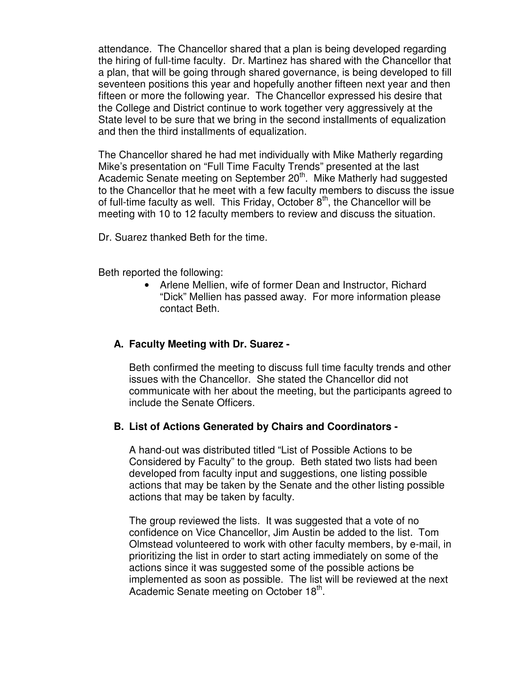attendance. The Chancellor shared that a plan is being developed regarding the hiring of full-time faculty. Dr. Martinez has shared with the Chancellor that a plan, that will be going through shared governance, is being developed to fill seventeen positions this year and hopefully another fifteen next year and then fifteen or more the following year. The Chancellor expressed his desire that the College and District continue to work together very aggressively at the State level to be sure that we bring in the second installments of equalization and then the third installments of equalization.

The Chancellor shared he had met individually with Mike Matherly regarding Mike's presentation on "Full Time Faculty Trends" presented at the last Academic Senate meeting on September 20<sup>th</sup>. Mike Matherly had suggested to the Chancellor that he meet with a few faculty members to discuss the issue of full-time faculty as well. This Friday, October  $8<sup>th</sup>$ , the Chancellor will be meeting with 10 to 12 faculty members to review and discuss the situation.

Dr. Suarez thanked Beth for the time.

Beth reported the following:

• Arlene Mellien, wife of former Dean and Instructor, Richard "Dick" Mellien has passed away. For more information please contact Beth.

#### **A. Faculty Meeting with Dr. Suarez -**

Beth confirmed the meeting to discuss full time faculty trends and other issues with the Chancellor. She stated the Chancellor did not communicate with her about the meeting, but the participants agreed to include the Senate Officers.

#### **B. List of Actions Generated by Chairs and Coordinators -**

A hand-out was distributed titled "List of Possible Actions to be Considered by Faculty" to the group. Beth stated two lists had been developed from faculty input and suggestions, one listing possible actions that may be taken by the Senate and the other listing possible actions that may be taken by faculty.

The group reviewed the lists. It was suggested that a vote of no confidence on Vice Chancellor, Jim Austin be added to the list. Tom Olmstead volunteered to work with other faculty members, by e-mail, in prioritizing the list in order to start acting immediately on some of the actions since it was suggested some of the possible actions be implemented as soon as possible. The list will be reviewed at the next Academic Senate meeting on October 18<sup>th</sup>.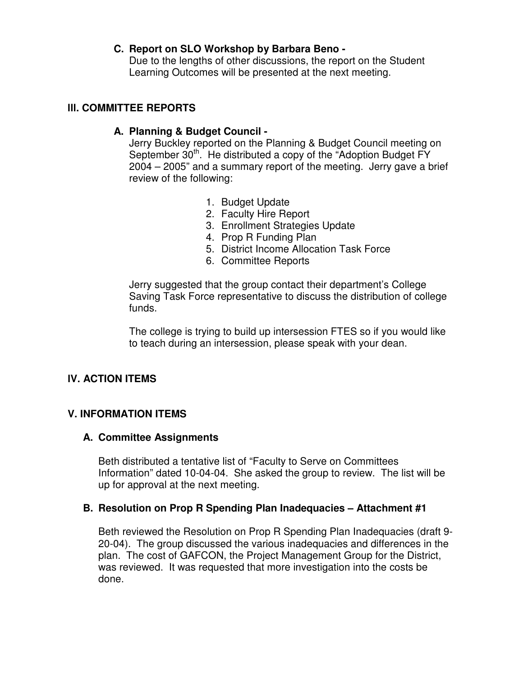#### **C. Report on SLO Workshop by Barbara Beno -**

Due to the lengths of other discussions, the report on the Student Learning Outcomes will be presented at the next meeting.

#### **lll. COMMITTEE REPORTS**

#### **A. Planning & Budget Council -**

Jerry Buckley reported on the Planning & Budget Council meeting on September  $30<sup>th</sup>$ . He distributed a copy of the "Adoption Budget FY 2004 – 2005" and a summary report of the meeting. Jerry gave a brief review of the following:

- 1. Budget Update
- 2. Faculty Hire Report
- 3. Enrollment Strategies Update
- 4. Prop R Funding Plan
- 5. District Income Allocation Task Force
- 6. Committee Reports

Jerry suggested that the group contact their department's College Saving Task Force representative to discuss the distribution of college funds.

The college is trying to build up intersession FTES so if you would like to teach during an intersession, please speak with your dean.

#### **lV. ACTION ITEMS**

#### **V. INFORMATION ITEMS**

#### **A. Committee Assignments**

Beth distributed a tentative list of "Faculty to Serve on Committees Information" dated 10-04-04. She asked the group to review. The list will be up for approval at the next meeting.

#### **B. Resolution on Prop R Spending Plan Inadequacies – Attachment #1**

Beth reviewed the Resolution on Prop R Spending Plan Inadequacies (draft 9- 20-04). The group discussed the various inadequacies and differences in the plan. The cost of GAFCON, the Project Management Group for the District, was reviewed. It was requested that more investigation into the costs be done.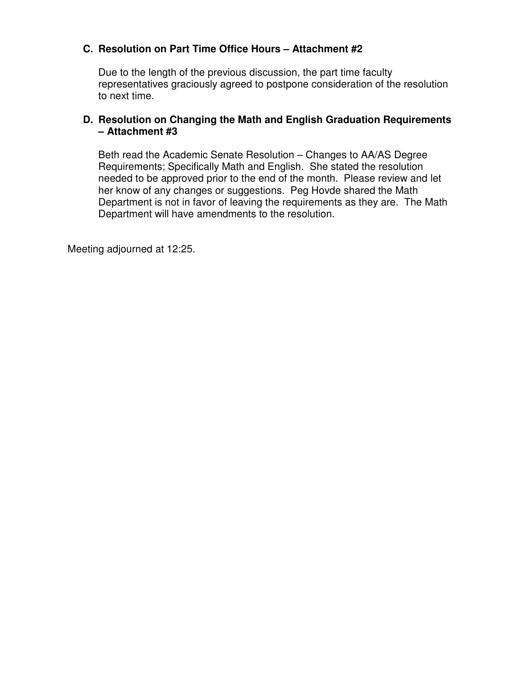#### **C. Resolution on Part Time Office Hours – Attachment #2**

Due to the length of the previous discussion, the part time faculty representatives graciously agreed to postpone consideration of the resolution to next time.

#### **D. Resolution on Changing the Math and English Graduation Requirements – Attachment #3**

Beth read the Academic Senate Resolution – Changes to AA/AS Degree Requirements; Specifically Math and English. She stated the resolution needed to be approved prior to the end of the month. Please review and let her know of any changes or suggestions. Peg Hovde shared the Math Department is not in favor of leaving the requirements as they are. The Math Department will have amendments to the resolution.

Meeting adjourned at 12:25.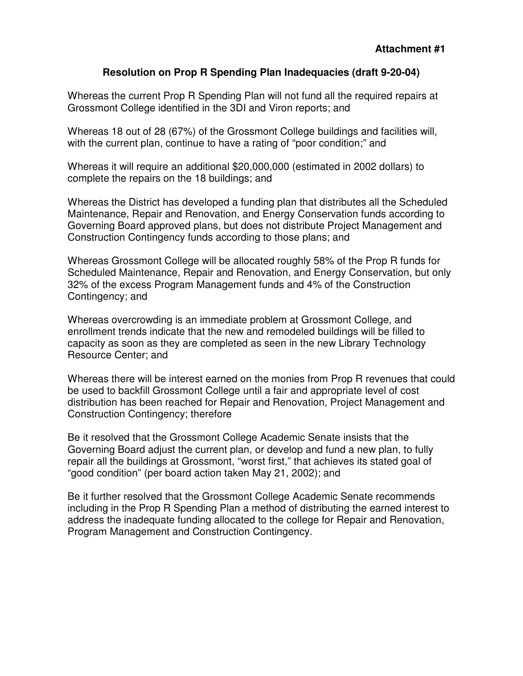#### **Resolution on Prop R Spending Plan Inadequacies (draft 9-20-04)**

Whereas the current Prop R Spending Plan will not fund all the required repairs at Grossmont College identified in the 3DI and Viron reports; and

Whereas 18 out of 28 (67%) of the Grossmont College buildings and facilities will, with the current plan, continue to have a rating of "poor condition;" and

Whereas it will require an additional \$20,000,000 (estimated in 2002 dollars) to complete the repairs on the 18 buildings; and

Whereas the District has developed a funding plan that distributes all the Scheduled Maintenance, Repair and Renovation, and Energy Conservation funds according to Governing Board approved plans, but does not distribute Project Management and Construction Contingency funds according to those plans; and

Whereas Grossmont College will be allocated roughly 58% of the Prop R funds for Scheduled Maintenance, Repair and Renovation, and Energy Conservation, but only 32% of the excess Program Management funds and 4% of the Construction Contingency; and

Whereas overcrowding is an immediate problem at Grossmont College, and enrollment trends indicate that the new and remodeled buildings will be filled to capacity as soon as they are completed as seen in the new Library Technology Resource Center; and

Whereas there will be interest earned on the monies from Prop R revenues that could be used to backfill Grossmont College until a fair and appropriate level of cost distribution has been reached for Repair and Renovation, Project Management and Construction Contingency; therefore

Be it resolved that the Grossmont College Academic Senate insists that the Governing Board adjust the current plan, or develop and fund a new plan, to fully repair all the buildings at Grossmont, "worst first," that achieves its stated goal of "good condition" (per board action taken May 21, 2002); and

Be it further resolved that the Grossmont College Academic Senate recommends including in the Prop R Spending Plan a method of distributing the earned interest to address the inadequate funding allocated to the college for Repair and Renovation, Program Management and Construction Contingency.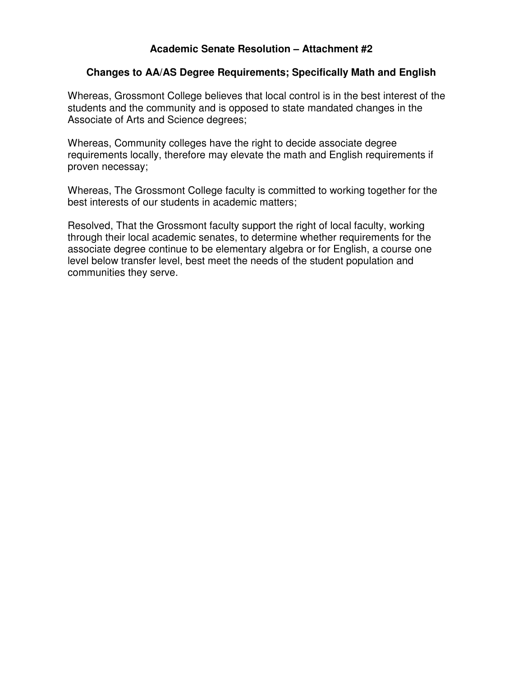#### **Academic Senate Resolution – Attachment #2**

#### **Changes to AA/AS Degree Requirements; Specifically Math and English**

Whereas, Grossmont College believes that local control is in the best interest of the students and the community and is opposed to state mandated changes in the Associate of Arts and Science degrees;

Whereas, Community colleges have the right to decide associate degree requirements locally, therefore may elevate the math and English requirements if proven necessay;

Whereas, The Grossmont College faculty is committed to working together for the best interests of our students in academic matters;

Resolved, That the Grossmont faculty support the right of local faculty, working through their local academic senates, to determine whether requirements for the associate degree continue to be elementary algebra or for English, a course one level below transfer level, best meet the needs of the student population and communities they serve.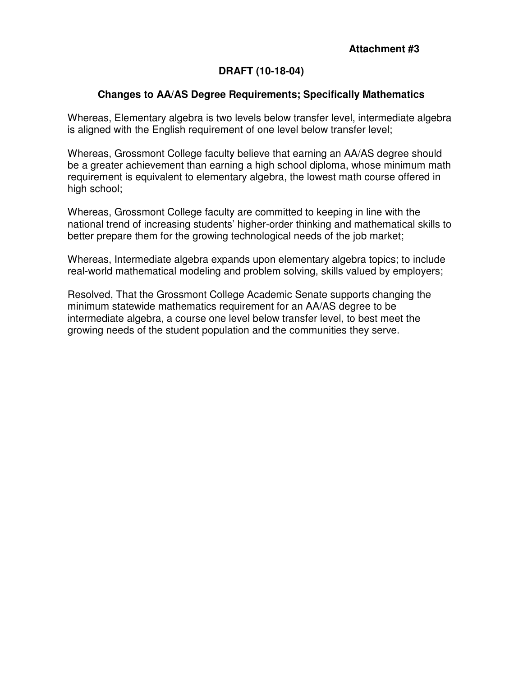#### **Attachment #3**

#### **DRAFT (10-18-04)**

#### **Changes to AA/AS Degree Requirements; Specifically Mathematics**

Whereas, Elementary algebra is two levels below transfer level, intermediate algebra is aligned with the English requirement of one level below transfer level;

Whereas, Grossmont College faculty believe that earning an AA/AS degree should be a greater achievement than earning a high school diploma, whose minimum math requirement is equivalent to elementary algebra, the lowest math course offered in high school;

Whereas, Grossmont College faculty are committed to keeping in line with the national trend of increasing students' higher-order thinking and mathematical skills to better prepare them for the growing technological needs of the job market;

Whereas, Intermediate algebra expands upon elementary algebra topics; to include real-world mathematical modeling and problem solving, skills valued by employers;

Resolved, That the Grossmont College Academic Senate supports changing the minimum statewide mathematics requirement for an AA/AS degree to be intermediate algebra, a course one level below transfer level, to best meet the growing needs of the student population and the communities they serve.